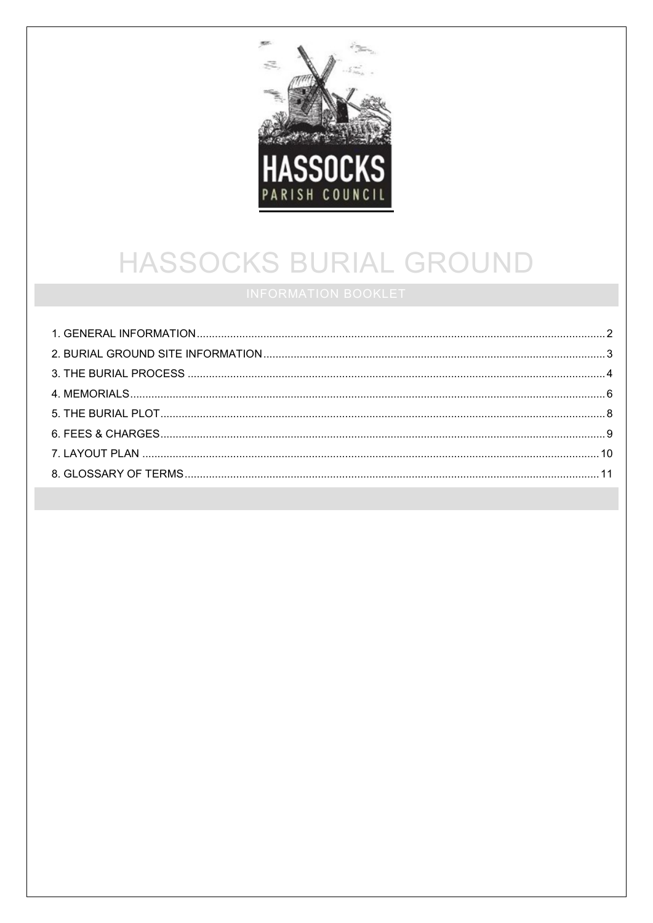

# HASSOCKS BURIAL GROUND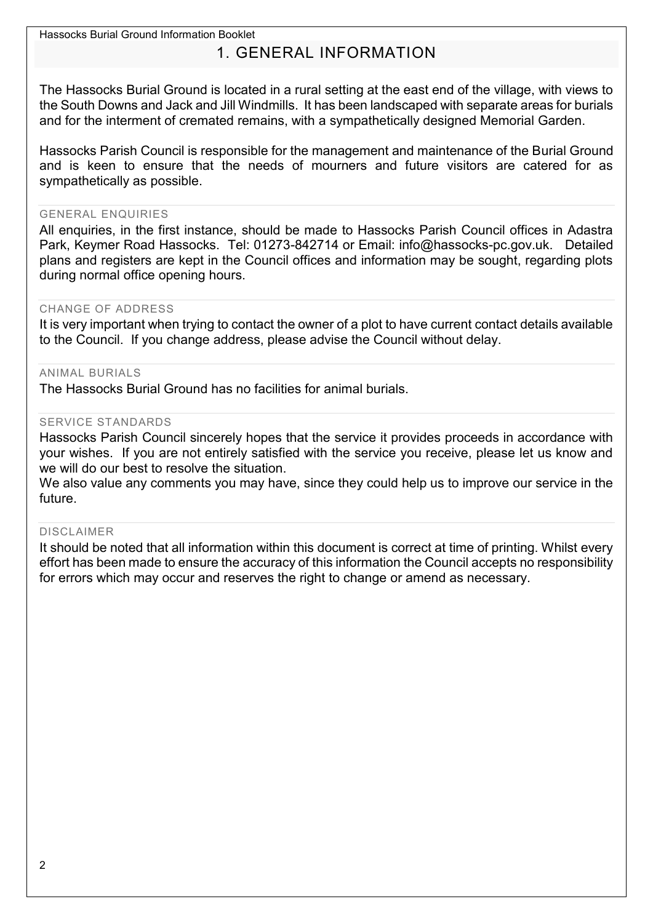# 1. GENERAL INFORMATION

<span id="page-1-0"></span>The Hassocks Burial Ground is located in a rural setting at the east end of the village, with views to the South Downs and Jack and Jill Windmills. It has been landscaped with separate areas for burials and for the interment of cremated remains, with a sympathetically designed Memorial Garden.

Hassocks Parish Council is responsible for the management and maintenance of the Burial Ground and is keen to ensure that the needs of mourners and future visitors are catered for as sympathetically as possible.

#### GENERAL ENQUIRIES

All enquiries, in the first instance, should be made to Hassocks Parish Council offices in Adastra Park, Keymer Road Hassocks. Tel: 01273-842714 or Email: info@hassocks-pc.gov.uk. Detailed plans and registers are kept in the Council offices and information may be sought, regarding plots during normal office opening hours.

#### CHANGE OF ADDRESS

It is very important when trying to contact the owner of a plot to have current contact details available to the Council. If you change address, please advise the Council without delay.

#### ANIMAL BURIALS

The Hassocks Burial Ground has no facilities for animal burials.

#### SERVICE STANDARDS

Hassocks Parish Council sincerely hopes that the service it provides proceeds in accordance with your wishes. If you are not entirely satisfied with the service you receive, please let us know and we will do our best to resolve the situation.

We also value any comments you may have, since they could help us to improve our service in the future.

#### DISCLAIMER

It should be noted that all information within this document is correct at time of printing. Whilst every effort has been made to ensure the accuracy of this information the Council accepts no responsibility for errors which may occur and reserves the right to change or amend as necessary.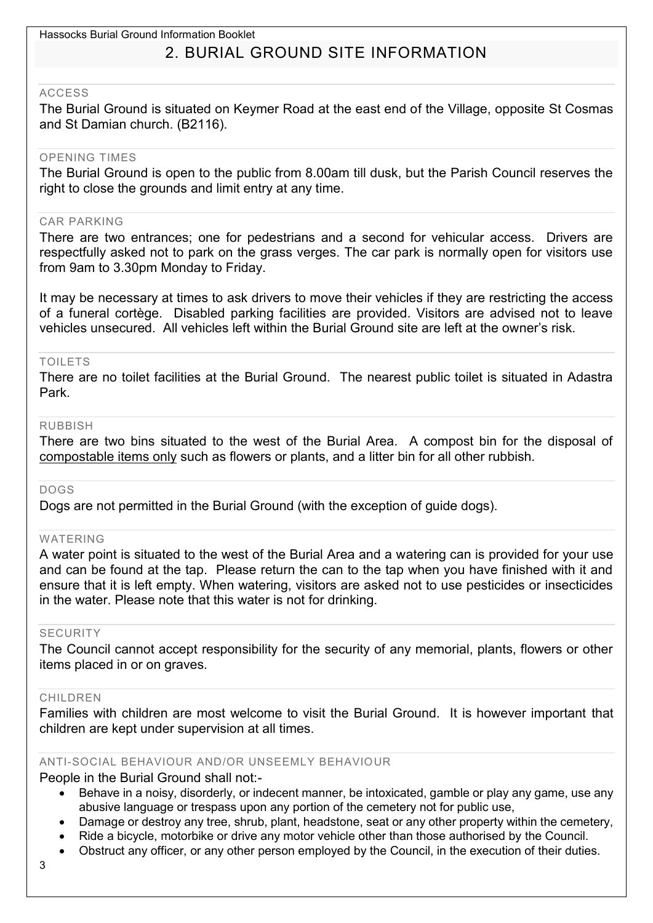# 2. BURIAL GROUND SITE INFORMATION

#### <span id="page-2-0"></span>ACCESS

The Burial Ground is situated on Keymer Road at the east end of the Village, opposite St Cosmas and St Damian church. (B2116).

#### OPENING TIMES

The Burial Ground is open to the public from 8.00am till dusk, but the Parish Council reserves the right to close the grounds and limit entry at any time.

#### CAR PARKING

There are two entrances; one for pedestrians and a second for vehicular access. Drivers are respectfully asked not to park on the grass verges. The car park is normally open for visitors use from 9am to 3.30pm Monday to Friday.

It may be necessary at times to ask drivers to move their vehicles if they are restricting the access of a funeral cortège. Disabled parking facilities are provided. Visitors are advised not to leave vehicles unsecured. All vehicles left within the Burial Ground site are left at the owner's risk.

#### TOILETS

There are no toilet facilities at the Burial Ground. The nearest public toilet is situated in Adastra Park.

#### RUBBISH

There are two bins situated to the west of the Burial Area. A compost bin for the disposal of compostable items only such as flowers or plants, and a litter bin for all other rubbish.

#### DOGS

Dogs are not permitted in the Burial Ground (with the exception of guide dogs).

#### WATERING

A water point is situated to the west of the Burial Area and a watering can is provided for your use and can be found at the tap. Please return the can to the tap when you have finished with it and ensure that it is left empty. When watering, visitors are asked not to use pesticides or insecticides in the water. Please note that this water is not for drinking.

#### SECURITY

The Council cannot accept responsibility for the security of any memorial, plants, flowers or other items placed in or on graves.

#### CHILDREN

Families with children are most welcome to visit the Burial Ground. It is however important that children are kept under supervision at all times.

#### ANTI-SOCIAL BEHAVIOUR AND/OR UNSEEMLY BEHAVIOUR

People in the Burial Ground shall not:-

- Behave in a noisy, disorderly, or indecent manner, be intoxicated, gamble or play any game, use any abusive language or trespass upon any portion of the cemetery not for public use,
- Damage or destroy any tree, shrub, plant, headstone, seat or any other property within the cemetery,
- Ride a bicycle, motorbike or drive any motor vehicle other than those authorised by the Council.
- Obstruct any officer, or any other person employed by the Council, in the execution of their duties.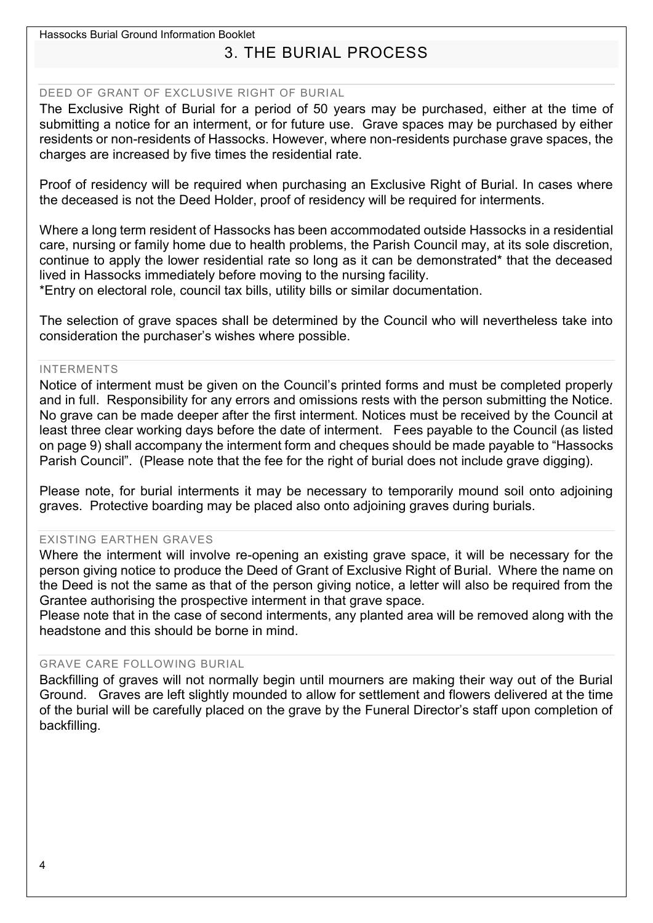# 3. THE BURIAL PROCESS

#### <span id="page-3-0"></span>DEED OF GRANT OF EXCLUSIVE RIGHT OF BURIAL

The Exclusive Right of Burial for a period of 50 years may be purchased, either at the time of submitting a notice for an interment, or for future use. Grave spaces may be purchased by either residents or non-residents of Hassocks. However, where non-residents purchase grave spaces, the charges are increased by five times the residential rate.

Proof of residency will be required when purchasing an Exclusive Right of Burial. In cases where the deceased is not the Deed Holder, proof of residency will be required for interments.

Where a long term resident of Hassocks has been accommodated outside Hassocks in a residential care, nursing or family home due to health problems, the Parish Council may, at its sole discretion, continue to apply the lower residential rate so long as it can be demonstrated\* that the deceased lived in Hassocks immediately before moving to the nursing facility.

\*Entry on electoral role, council tax bills, utility bills or similar documentation.

The selection of grave spaces shall be determined by the Council who will nevertheless take into consideration the purchaser's wishes where possible.

#### INTERMENTS

Notice of interment must be given on the Council's printed forms and must be completed properly and in full. Responsibility for any errors and omissions rests with the person submitting the Notice. No grave can be made deeper after the first interment. Notices must be received by the Council at least three clear working days before the date of interment. Fees payable to the Council (as listed on page 9) shall accompany the interment form and cheques should be made payable to "Hassocks Parish Council". (Please note that the fee for the right of burial does not include grave digging).

Please note, for burial interments it may be necessary to temporarily mound soil onto adjoining graves. Protective boarding may be placed also onto adjoining graves during burials.

#### EXISTING EARTHEN GRAVES

Where the interment will involve re-opening an existing grave space, it will be necessary for the person giving notice to produce the Deed of Grant of Exclusive Right of Burial. Where the name on the Deed is not the same as that of the person giving notice, a letter will also be required from the Grantee authorising the prospective interment in that grave space.

Please note that in the case of second interments, any planted area will be removed along with the headstone and this should be borne in mind.

#### GRAVE CARE FOLLOWING BURIAL

Backfilling of graves will not normally begin until mourners are making their way out of the Burial Ground. Graves are left slightly mounded to allow for settlement and flowers delivered at the time of the burial will be carefully placed on the grave by the Funeral Director's staff upon completion of backfilling.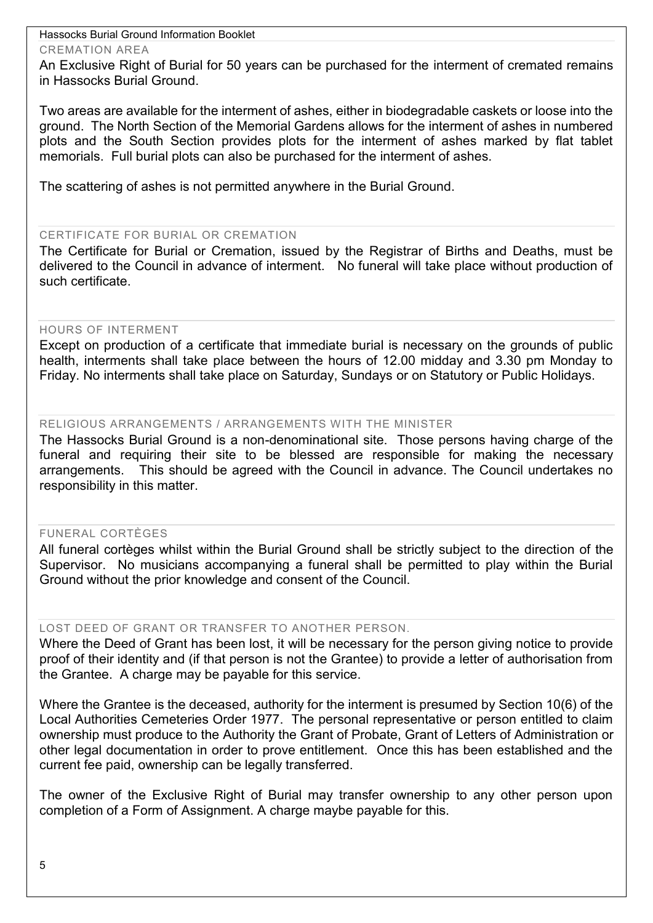#### CREMATION AREA

An Exclusive Right of Burial for 50 years can be purchased for the interment of cremated remains in Hassocks Burial Ground.

Two areas are available for the interment of ashes, either in biodegradable caskets or loose into the ground. The North Section of the Memorial Gardens allows for the interment of ashes in numbered plots and the South Section provides plots for the interment of ashes marked by flat tablet memorials. Full burial plots can also be purchased for the interment of ashes.

The scattering of ashes is not permitted anywhere in the Burial Ground.

#### CERTIFICATE FOR BURIAL OR CREMATION

The Certificate for Burial or Cremation, issued by the Registrar of Births and Deaths, must be delivered to the Council in advance of interment. No funeral will take place without production of such certificate.

#### HOURS OF INTERMENT

Except on production of a certificate that immediate burial is necessary on the grounds of public health, interments shall take place between the hours of 12.00 midday and 3.30 pm Monday to Friday. No interments shall take place on Saturday, Sundays or on Statutory or Public Holidays.

#### RELIGIOUS ARRANGEMENTS / ARRANGEMENTS WITH THE MINISTER

The Hassocks Burial Ground is a non-denominational site. Those persons having charge of the funeral and requiring their site to be blessed are responsible for making the necessary arrangements. This should be agreed with the Council in advance. The Council undertakes no responsibility in this matter.

#### FUNERAL CORTÈGES

All funeral cortèges whilst within the Burial Ground shall be strictly subject to the direction of the Supervisor. No musicians accompanying a funeral shall be permitted to play within the Burial Ground without the prior knowledge and consent of the Council.

#### LOST DEED OF GRANT OR TRANSFER TO ANOTHER PERSON.

Where the Deed of Grant has been lost, it will be necessary for the person giving notice to provide proof of their identity and (if that person is not the Grantee) to provide a letter of authorisation from the Grantee. A charge may be payable for this service.

Where the Grantee is the deceased, authority for the interment is presumed by Section 10(6) of the Local Authorities Cemeteries Order 1977. The personal representative or person entitled to claim ownership must produce to the Authority the Grant of Probate, Grant of Letters of Administration or other legal documentation in order to prove entitlement. Once this has been established and the current fee paid, ownership can be legally transferred.

The owner of the Exclusive Right of Burial may transfer ownership to any other person upon completion of a Form of Assignment. A charge maybe payable for this.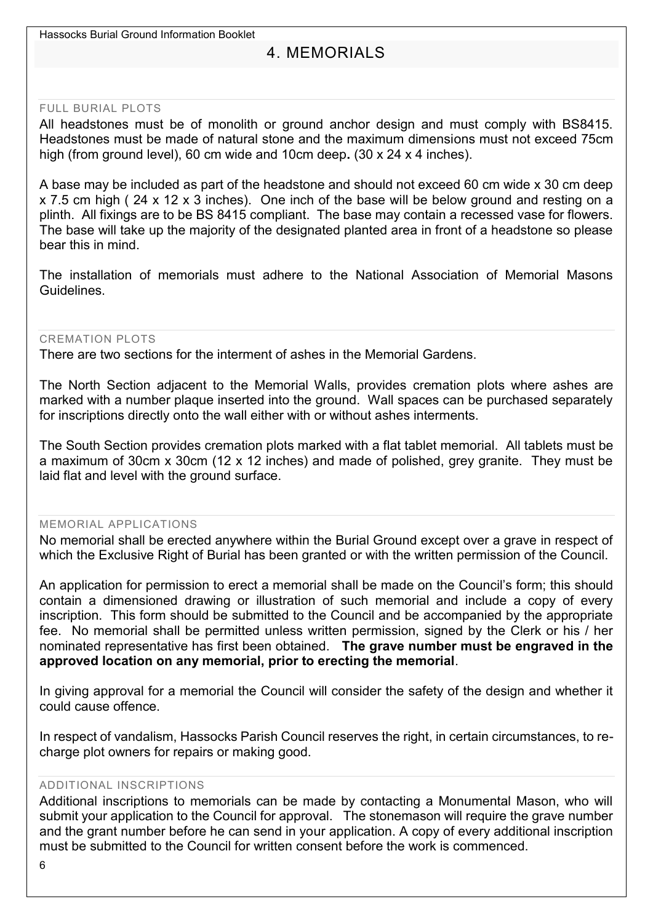# 4. MEMORIALS

#### <span id="page-5-0"></span>FULL BURIAL PLOTS

All headstones must be of monolith or ground anchor design and must comply with BS8415. Headstones must be made of natural stone and the maximum dimensions must not exceed 75cm high (from ground level), 60 cm wide and 10cm deep**.** (30 x 24 x 4 inches).

A base may be included as part of the headstone and should not exceed 60 cm wide x 30 cm deep x 7.5 cm high ( 24 x 12 x 3 inches). One inch of the base will be below ground and resting on a plinth. All fixings are to be BS 8415 compliant. The base may contain a recessed vase for flowers. The base will take up the majority of the designated planted area in front of a headstone so please bear this in mind.

The installation of memorials must adhere to the National Association of Memorial Masons Guidelines.

#### CREMATION PLOTS

There are two sections for the interment of ashes in the Memorial Gardens.

The North Section adjacent to the Memorial Walls, provides cremation plots where ashes are marked with a number plaque inserted into the ground. Wall spaces can be purchased separately for inscriptions directly onto the wall either with or without ashes interments.

The South Section provides cremation plots marked with a flat tablet memorial. All tablets must be a maximum of 30cm x 30cm (12 x 12 inches) and made of polished, grey granite. They must be laid flat and level with the ground surface.

#### MEMORIAL APPLICATIONS

No memorial shall be erected anywhere within the Burial Ground except over a grave in respect of which the Exclusive Right of Burial has been granted or with the written permission of the Council.

An application for permission to erect a memorial shall be made on the Council's form; this should contain a dimensioned drawing or illustration of such memorial and include a copy of every inscription. This form should be submitted to the Council and be accompanied by the appropriate fee. No memorial shall be permitted unless written permission, signed by the Clerk or his / her nominated representative has first been obtained. **The grave number must be engraved in the approved location on any memorial, prior to erecting the memorial**.

In giving approval for a memorial the Council will consider the safety of the design and whether it could cause offence.

In respect of vandalism, Hassocks Parish Council reserves the right, in certain circumstances, to recharge plot owners for repairs or making good.

#### ADDITIONAL INSCRIPTIONS

Additional inscriptions to memorials can be made by contacting a Monumental Mason, who will submit your application to the Council for approval. The stonemason will require the grave number and the grant number before he can send in your application. A copy of every additional inscription must be submitted to the Council for written consent before the work is commenced.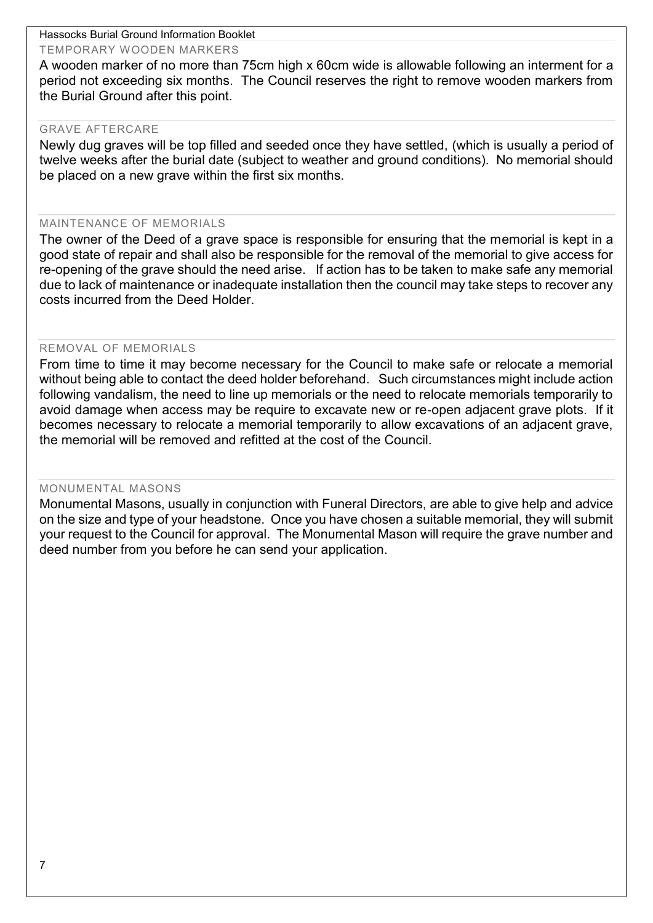#### TEMPORARY WOODEN MARKERS

A wooden marker of no more than 75cm high x 60cm wide is allowable following an interment for a period not exceeding six months. The Council reserves the right to remove wooden markers from the Burial Ground after this point.

#### GRAVE AFTERCARE

Newly dug graves will be top filled and seeded once they have settled, (which is usually a period of twelve weeks after the burial date (subject to weather and ground conditions). No memorial should be placed on a new grave within the first six months.

#### MAINTENANCE OF MEMORIALS

The owner of the Deed of a grave space is responsible for ensuring that the memorial is kept in a good state of repair and shall also be responsible for the removal of the memorial to give access for re-opening of the grave should the need arise. If action has to be taken to make safe any memorial due to lack of maintenance or inadequate installation then the council may take steps to recover any costs incurred from the Deed Holder.

#### REMOVAL OF MEMORIALS

From time to time it may become necessary for the Council to make safe or relocate a memorial without being able to contact the deed holder beforehand. Such circumstances might include action following vandalism, the need to line up memorials or the need to relocate memorials temporarily to avoid damage when access may be require to excavate new or re-open adjacent grave plots. If it becomes necessary to relocate a memorial temporarily to allow excavations of an adjacent grave, the memorial will be removed and refitted at the cost of the Council.

#### MONUMENTAL MASONS

Monumental Masons, usually in conjunction with Funeral Directors, are able to give help and advice on the size and type of your headstone. Once you have chosen a suitable memorial, they will submit your request to the Council for approval. The Monumental Mason will require the grave number and deed number from you before he can send your application.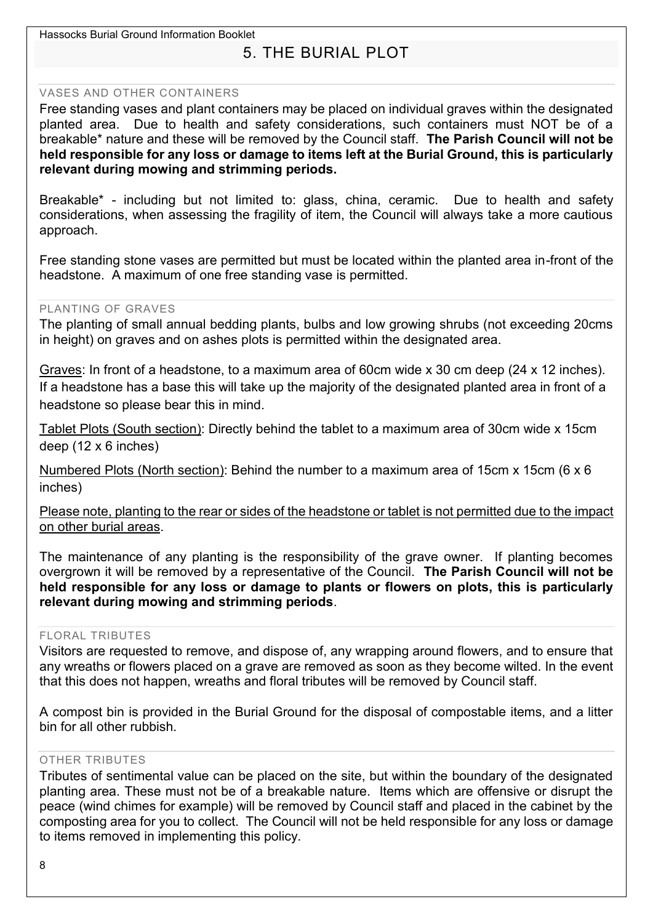# 5. THE BURIAL PLOT

#### <span id="page-7-0"></span>VASES AND OTHER CONTAINERS

Free standing vases and plant containers may be placed on individual graves within the designated planted area. Due to health and safety considerations, such containers must NOT be of a breakable\* nature and these will be removed by the Council staff. **The Parish Council will not be held responsible for any loss or damage to items left at the Burial Ground, this is particularly relevant during mowing and strimming periods.**

Breakable\* - including but not limited to: glass, china, ceramic. Due to health and safety considerations, when assessing the fragility of item, the Council will always take a more cautious approach.

Free standing stone vases are permitted but must be located within the planted area in-front of the headstone. A maximum of one free standing vase is permitted.

#### PLANTING OF GRAVES

The planting of small annual bedding plants, bulbs and low growing shrubs (not exceeding 20cms in height) on graves and on ashes plots is permitted within the designated area.

Graves: In front of a headstone, to a maximum area of 60cm wide x 30 cm deep (24 x 12 inches). If a headstone has a base this will take up the majority of the designated planted area in front of a headstone so please bear this in mind.

Tablet Plots (South section): Directly behind the tablet to a maximum area of 30cm wide x 15cm deep (12 x 6 inches)

Numbered Plots (North section): Behind the number to a maximum area of 15cm x 15cm (6 x 6 inches)

Please note, planting to the rear or sides of the headstone or tablet is not permitted due to the impact on other burial areas.

The maintenance of any planting is the responsibility of the grave owner. If planting becomes overgrown it will be removed by a representative of the Council. **The Parish Council will not be held responsible for any loss or damage to plants or flowers on plots, this is particularly relevant during mowing and strimming periods**.

#### FLORAL TRIBUTES

Visitors are requested to remove, and dispose of, any wrapping around flowers, and to ensure that any wreaths or flowers placed on a grave are removed as soon as they become wilted. In the event that this does not happen, wreaths and floral tributes will be removed by Council staff.

A compost bin is provided in the Burial Ground for the disposal of compostable items, and a litter bin for all other rubbish.

#### OTHER TRIBUTES

Tributes of sentimental value can be placed on the site, but within the boundary of the designated planting area. These must not be of a breakable nature. Items which are offensive or disrupt the peace (wind chimes for example) will be removed by Council staff and placed in the cabinet by the composting area for you to collect. The Council will not be held responsible for any loss or damage to items removed in implementing this policy.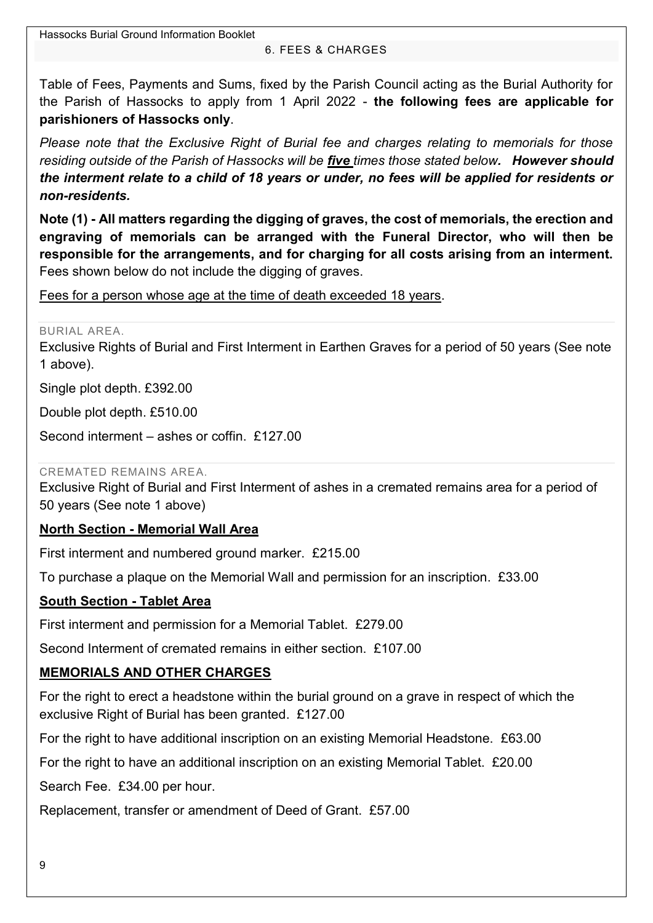#### 6. FEES & CHARGES

<span id="page-8-0"></span>Table of Fees, Payments and Sums, fixed by the Parish Council acting as the Burial Authority for the Parish of Hassocks to apply from 1 April 2022 - **the following fees are applicable for parishioners of Hassocks only**.

*Please note that the Exclusive Right of Burial fee and charges relating to memorials for those residing outside of the Parish of Hassocks will be five times those stated below. However should the interment relate to a child of 18 years or under, no fees will be applied for residents or non-residents.*

**Note (1) - All matters regarding the digging of graves, the cost of memorials, the erection and engraving of memorials can be arranged with the Funeral Director, who will then be responsible for the arrangements, and for charging for all costs arising from an interment.** Fees shown below do not include the digging of graves.

Fees for a person whose age at the time of death exceeded 18 years.

BURIAL AREA.

Exclusive Rights of Burial and First Interment in Earthen Graves for a period of 50 years (See note 1 above).

Single plot depth. £392.00

Double plot depth. £510.00

Second interment – ashes or coffin. £127.00

CREMATED REMAINS AREA.

Exclusive Right of Burial and First Interment of ashes in a cremated remains area for a period of 50 years (See note 1 above)

### **North Section - Memorial Wall Area**

First interment and numbered ground marker. £215.00

To purchase a plaque on the Memorial Wall and permission for an inscription. £33.00

### **South Section - Tablet Area**

First interment and permission for a Memorial Tablet. £279.00

Second Interment of cremated remains in either section. £107.00

### **MEMORIALS AND OTHER CHARGES**

For the right to erect a headstone within the burial ground on a grave in respect of which the exclusive Right of Burial has been granted. £127.00

For the right to have additional inscription on an existing Memorial Headstone. £63.00

For the right to have an additional inscription on an existing Memorial Tablet. £20.00

Search Fee. £34.00 per hour.

Replacement, transfer or amendment of Deed of Grant. £57.00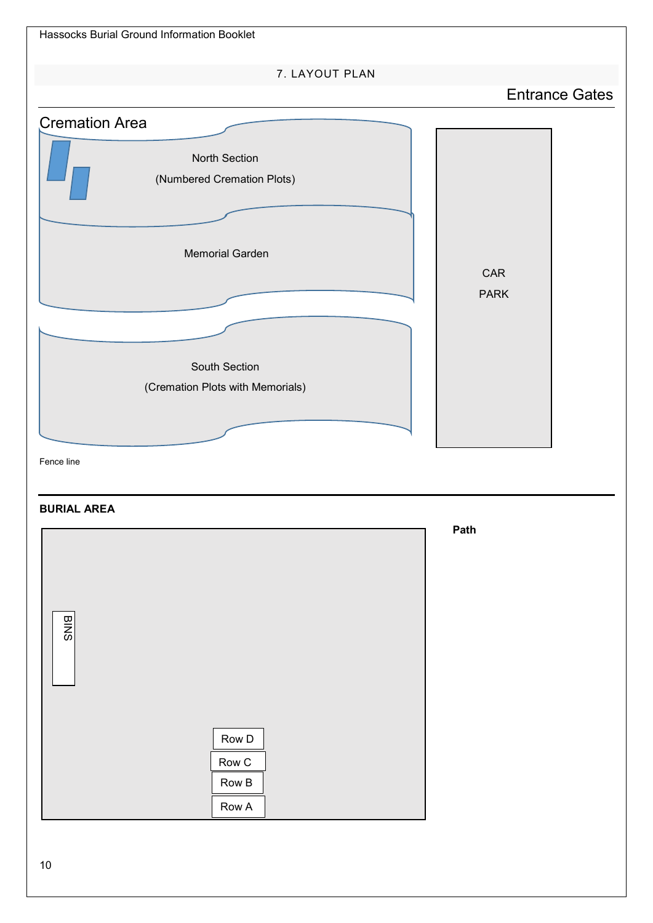<span id="page-9-0"></span>

#### **BURIAL AREA**



**Path**